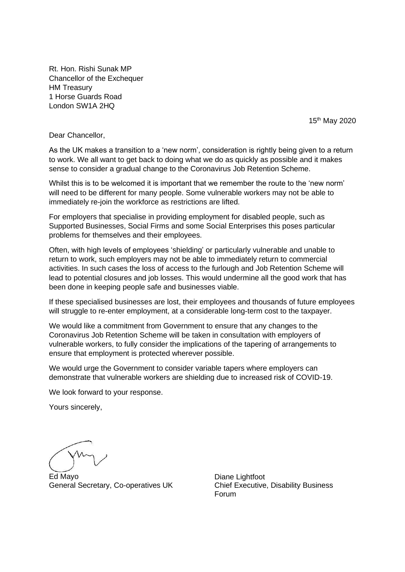Rt. Hon. Rishi Sunak MP Chancellor of the Exchequer HM Treasury 1 Horse Guards Road London SW1A 2HQ

15th May 2020

Dear Chancellor,

As the UK makes a transition to a 'new norm', consideration is rightly being given to a return to work. We all want to get back to doing what we do as quickly as possible and it makes sense to consider a gradual change to the Coronavirus Job Retention Scheme.

Whilst this is to be welcomed it is important that we remember the route to the 'new norm' will need to be different for many people. Some vulnerable workers may not be able to immediately re-join the workforce as restrictions are lifted.

For employers that specialise in providing employment for disabled people, such as Supported Businesses, Social Firms and some Social Enterprises this poses particular problems for themselves and their employees.

Often, with high levels of employees 'shielding' or particularly vulnerable and unable to return to work, such employers may not be able to immediately return to commercial activities. In such cases the loss of access to the furlough and Job Retention Scheme will lead to potential closures and job losses. This would undermine all the good work that has been done in keeping people safe and businesses viable.

If these specialised businesses are lost, their employees and thousands of future employees will struggle to re-enter employment, at a considerable long-term cost to the taxpayer.

We would like a commitment from Government to ensure that any changes to the Coronavirus Job Retention Scheme will be taken in consultation with employers of vulnerable workers, to fully consider the implications of the tapering of arrangements to ensure that employment is protected wherever possible.

We would urge the Government to consider variable tapers where employers can demonstrate that vulnerable workers are shielding due to increased risk of COVID-19.

We look forward to your response.

Yours sincerely,

Ed Mayo General Secretary, Co-operatives UK

Diane Lightfoot Chief Executive, Disability Business Forum